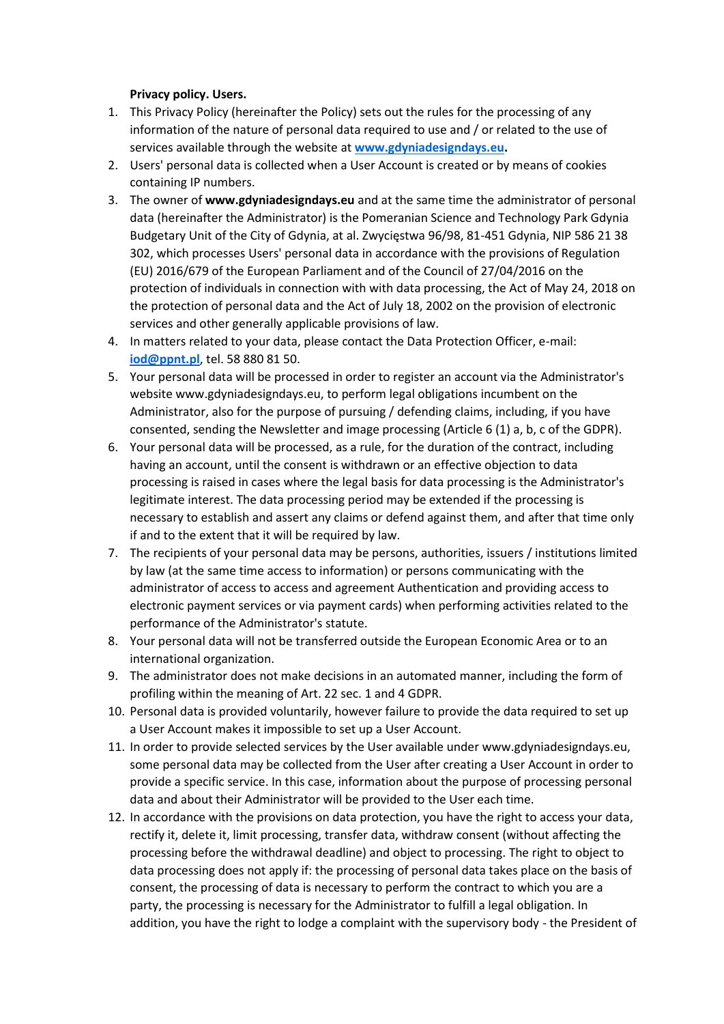## **Privacy policy. Users.**

- 1. This Privacy Policy (hereinafter the Policy) sets out the rules for the processing of any information of the nature of personal data required to use and / or related to the use of services available through the website at **[www.gdyniadesigndays.eu.](http://www.gdyniadesigndays.eu/)**
- 2. Users' personal data is collected when a User Account is created or by means of cookies containing IP numbers.
- 3. The owner of **www.gdyniadesigndays.eu** and at the same time the administrator of personal data (hereinafter the Administrator) is the Pomeranian Science and Technology Park Gdynia Budgetary Unit of the City of Gdynia, at al. Zwycięstwa 96/98, 81-451 Gdynia, NIP 586 21 38 302, which processes Users' personal data in accordance with the provisions of Regulation (EU) 2016/679 of the European Parliament and of the Council of 27/04/2016 on the protection of individuals in connection with with data processing, the Act of May 24, 2018 on the protection of personal data and the Act of July 18, 2002 on the provision of electronic services and other generally applicable provisions of law.
- 4. In matters related to your data, please contact the Data Protection Officer, e-mail: **[iod@ppnt.pl](mailto:iod@ppnt.pl)**, tel. 58 880 81 50.
- 5. Your personal data will be processed in order to register an account via the Administrator's website www.gdyniadesigndays.eu, to perform legal obligations incumbent on the Administrator, also for the purpose of pursuing / defending claims, including, if you have consented, sending the Newsletter and image processing (Article 6 (1) a, b, c of the GDPR).
- 6. Your personal data will be processed, as a rule, for the duration of the contract, including having an account, until the consent is withdrawn or an effective objection to data processing is raised in cases where the legal basis for data processing is the Administrator's legitimate interest. The data processing period may be extended if the processing is necessary to establish and assert any claims or defend against them, and after that time only if and to the extent that it will be required by law.
- 7. The recipients of your personal data may be persons, authorities, issuers / institutions limited by law (at the same time access to information) or persons communicating with the administrator of access to access and agreement Authentication and providing access to electronic payment services or via payment cards) when performing activities related to the performance of the Administrator's statute.
- 8. Your personal data will not be transferred outside the European Economic Area or to an international organization.
- 9. The administrator does not make decisions in an automated manner, including the form of profiling within the meaning of Art. 22 sec. 1 and 4 GDPR.
- 10. Personal data is provided voluntarily, however failure to provide the data required to set up a User Account makes it impossible to set up a User Account.
- 11. In order to provide selected services by the User available under www.gdyniadesigndays.eu, some personal data may be collected from the User after creating a User Account in order to provide a specific service. In this case, information about the purpose of processing personal data and about their Administrator will be provided to the User each time.
- 12. In accordance with the provisions on data protection, you have the right to access your data, rectify it, delete it, limit processing, transfer data, withdraw consent (without affecting the processing before the withdrawal deadline) and object to processing. The right to object to data processing does not apply if: the processing of personal data takes place on the basis of consent, the processing of data is necessary to perform the contract to which you are a party, the processing is necessary for the Administrator to fulfill a legal obligation. In addition, you have the right to lodge a complaint with the supervisory body - the President of